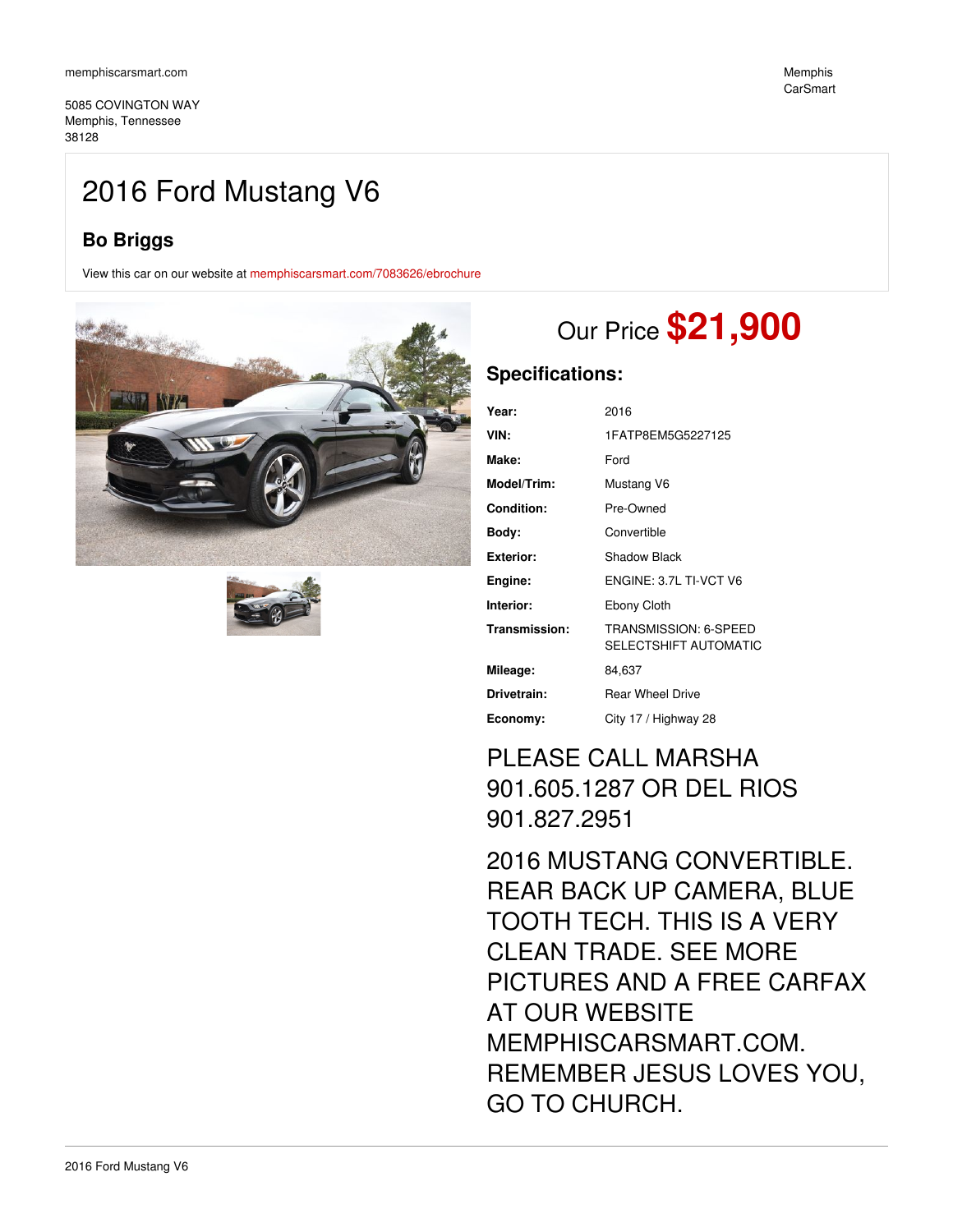5085 COVINGTON WAY Memphis, Tennessee 38128

## 2016 Ford Mustang V6

## **Bo Briggs**

View this car on our website at [memphiscarsmart.com/7083626/ebrochure](https://memphiscarsmart.com/vehicle/7083626/2016-ford-mustang-v6-memphis-tennessee-38128/7083626/ebrochure)





# Our Price **\$21,900**

### **Specifications:**

| Year:             | 2016                                           |
|-------------------|------------------------------------------------|
| VIN:              | 1FATP8EM5G5227125                              |
| Make:             | Ford                                           |
| Model/Trim:       | Mustang V6                                     |
| <b>Condition:</b> | Pre-Owned                                      |
| Body:             | Convertible                                    |
| Exterior:         | Shadow Black                                   |
| Engine:           | ENGINE: 3.7L TI-VCT V6                         |
| Interior:         | Ebony Cloth                                    |
| Transmission:     | TRANSMISSION: 6-SPEED<br>SELECTSHIFT AUTOMATIC |
| Mileage:          | 84,637                                         |
| Drivetrain:       | <b>Rear Wheel Drive</b>                        |
| Economy:          | City 17 / Highway 28                           |

## PLEASE CALL MARSHA 901.605.1287 OR DEL RIOS 901.827.2951

2016 MUSTANG CONVERTIBLE. REAR BACK UP CAMERA, BLUE TOOTH TECH. THIS IS A VERY CLEAN TRADE. SEE MORE PICTURES AND A FREE CARFAX AT OUR WEBSITE MEMPHISCARSMART.COM. REMEMBER JESUS LOVES YOU, GO TO CHURCH.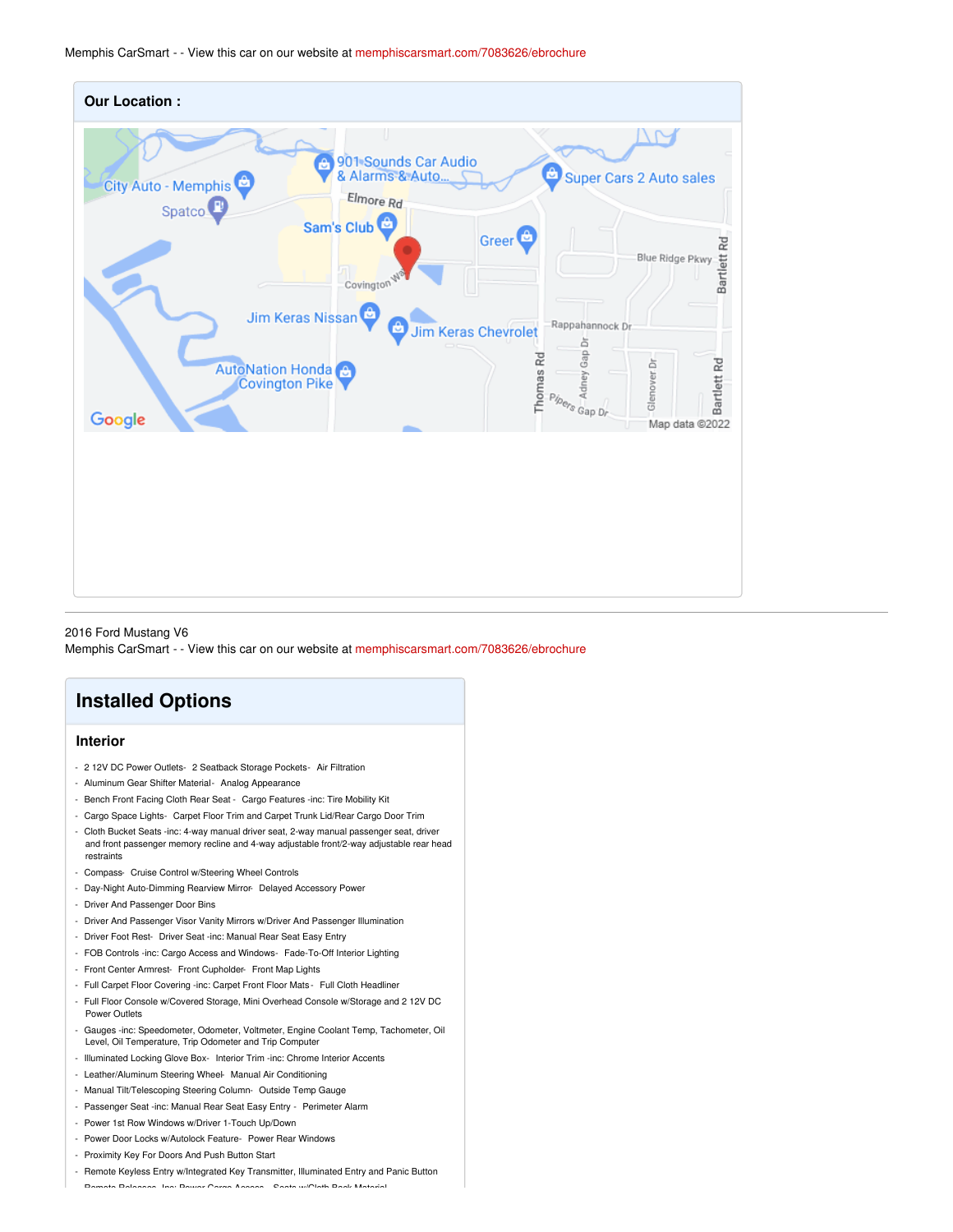Memphis CarSmart - - View this car on our website at [memphiscarsmart.com/7083626/ebrochure](https://memphiscarsmart.com/vehicle/7083626/2016-ford-mustang-v6-memphis-tennessee-38128/7083626/ebrochure)



2016 Ford Mustang V6 Memphis CarSmart - - View this car on our website at [memphiscarsmart.com/7083626/ebrochure](https://memphiscarsmart.com/vehicle/7083626/2016-ford-mustang-v6-memphis-tennessee-38128/7083626/ebrochure)

## **Installed Options**

#### **Interior**

- 2 12V DC Power Outlets- 2 Seatback Storage Pockets- Air Filtration
- Aluminum Gear Shifter Material- Analog Appearance
- Bench Front Facing Cloth Rear Seat Cargo Features -inc: Tire Mobility Kit
- Cargo Space Lights- Carpet Floor Trim and Carpet Trunk Lid/Rear Cargo Door Trim
- Cloth Bucket Seats -inc: 4-way manual driver seat, 2-way manual passenger seat, driver and front passenger memory recline and 4-way adjustable front/2-way adjustable rear head restraints
- Compass- Cruise Control w/Steering Wheel Controls
- Day-Night Auto-Dimming Rearview Mirror- Delayed Accessory Power
- Driver And Passenger Door Bins
- Driver And Passenger Visor Vanity Mirrors w/Driver And Passenger Illumination
- Driver Foot Rest- Driver Seat -inc: Manual Rear Seat Easy Entry
- FOB Controls -inc: Cargo Access and Windows- Fade-To-Off Interior Lighting
- Front Center Armrest- Front Cupholder- Front Map Lights
- Full Carpet Floor Covering -inc: Carpet Front Floor Mats Full Cloth Headliner
- Full Floor Console w/Covered Storage, Mini Overhead Console w/Storage and 2 12V DC Power Outlets
- Gauges -inc: Speedometer, Odometer, Voltmeter, Engine Coolant Temp, Tachometer, Oil Level, Oil Temperature, Trip Odometer and Trip Computer
- Illuminated Locking Glove Box- Interior Trim -inc: Chrome Interior Accents
- Leather/Aluminum Steering Wheel- Manual Air Conditioning
- Manual Tilt/Telescoping Steering Column- Outside Temp Gauge
- Passenger Seat -inc: Manual Rear Seat Easy Entry Perimeter Alarm
- Power 1st Row Windows w/Driver 1-Touch Up/Down
- Power Door Locks w/Autolock Feature- Power Rear Windows
- Proximity Key For Doors And Push Button Start
- Remote Keyless Entry w/Integrated Key Transmitter, Illuminated Entry and Panic Button - Remote Releases -Inc: Power Cargo Access- Seats w/Cloth Back Material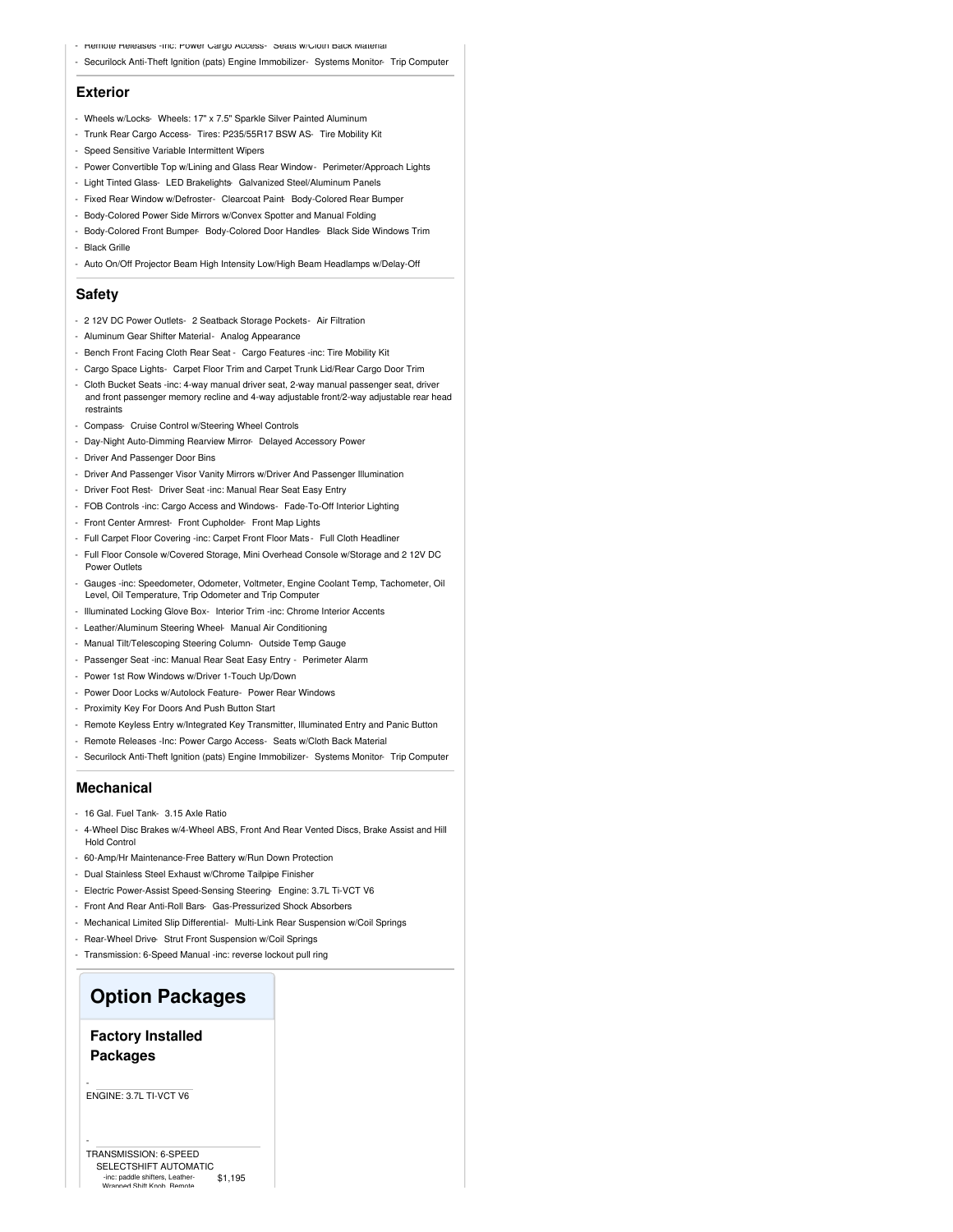- Hemote Heleases -Inc: Power Cargo Access- Seats w/Cloth Back Material
- Securilock Anti-Theft Ignition (pats) Engine Immobilizer- Systems Monitor- Trip Computer

#### **Exterior**

- Wheels w/Locks- Wheels: 17" x 7.5" Sparkle Silver Painted Aluminum
- Trunk Rear Cargo Access- Tires: P235/55R17 BSW AS- Tire Mobility Kit
- Speed Sensitive Variable Intermittent Wipers
- Power Convertible Top w/Lining and Glass Rear Window- Perimeter/Approach Lights
- Light Tinted Glass- LED Brakelights- Galvanized Steel/Aluminum Panels
- Fixed Rear Window w/Defroster- Clearcoat Paint- Body-Colored Rear Bumper
- Body-Colored Power Side Mirrors w/Convex Spotter and Manual Folding
- Body-Colored Front Bumper- Body-Colored Door Handles- Black Side Windows Trim
- Black Grille
- Auto On/Off Projector Beam High Intensity Low/High Beam Headlamps w/Delay-Off

#### **Safety**

- 2 12V DC Power Outlets- 2 Seatback Storage Pockets- Air Filtration
- Aluminum Gear Shifter Material- Analog Appearance
- Bench Front Facing Cloth Rear Seat Cargo Features -inc: Tire Mobility Kit
- Cargo Space Lights- Carpet Floor Trim and Carpet Trunk Lid/Rear Cargo Door Trim
- Cloth Bucket Seats -inc: 4-way manual driver seat, 2-way manual passenger seat, driver and front passenger memory recline and 4-way adjustable front/2-way adjustable rear head restraints
- Compass- Cruise Control w/Steering Wheel Controls
- Day-Night Auto-Dimming Rearview Mirror- Delayed Accessory Power
- Driver And Passenger Door Bins
- Driver And Passenger Visor Vanity Mirrors w/Driver And Passenger Illumination
- Driver Foot Rest- Driver Seat -inc: Manual Rear Seat Easy Entry
- FOB Controls -inc: Cargo Access and Windows- Fade-To-Off Interior Lighting
- Front Center Armrest- Front Cupholder- Front Map Lights
- Full Carpet Floor Covering -inc: Carpet Front Floor Mats Full Cloth Headliner
- Full Floor Console w/Covered Storage, Mini Overhead Console w/Storage and 2 12V DC Power Outlets
- Gauges -inc: Speedometer, Odometer, Voltmeter, Engine Coolant Temp, Tachometer, Oil Level, Oil Temperature, Trip Odometer and Trip Computer
- Illuminated Locking Glove Box- Interior Trim -inc: Chrome Interior Accents
- Leather/Aluminum Steering Wheel- Manual Air Conditioning
- Manual Tilt/Telescoping Steering Column- Outside Temp Gauge
- Passenger Seat -inc: Manual Rear Seat Easy Entry Perimeter Alarm
- Power 1st Row Windows w/Driver 1-Touch Up/Down
- Power Door Locks w/Autolock Feature- Power Rear Windows
- Proximity Key For Doors And Push Button Start
- Remote Keyless Entry w/Integrated Key Transmitter, Illuminated Entry and Panic Button
- Remote Releases -Inc: Power Cargo Access- Seats w/Cloth Back Material
- Securilock Anti-Theft Ignition (pats) Engine Immobilizer- Systems Monitor- Trip Computer

#### **Mechanical**

- 16 Gal. Fuel Tank- 3.15 Axle Ratio
- 4-Wheel Disc Brakes w/4-Wheel ABS, Front And Rear Vented Discs, Brake Assist and Hill Hold Control
- 60-Amp/Hr Maintenance-Free Battery w/Run Down Protection
- Dual Stainless Steel Exhaust w/Chrome Tailpipe Finisher
- Electric Power-Assist Speed-Sensing Steering- Engine: 3.7L Ti-VCT V6
- Front And Rear Anti-Roll Bars- Gas-Pressurized Shock Absorbers
- Mechanical Limited Slip Differential- Multi-Link Rear Suspension w/Coil Springs
- Rear-Wheel Drive- Strut Front Suspension w/Coil Springs
- Transmission: 6-Speed Manual -inc: reverse lockout pull ring

### **Option Packages**

#### **Factory Installed Packages**

ENGINE: 3.7L TI-VCT V6

-

-

\$1,195 TRANSMISSION: 6-SPEED SELECTSHIFT AUTOMATIC -inc: paddle shifters, Leather-Wrapped Shift Knob, Remote